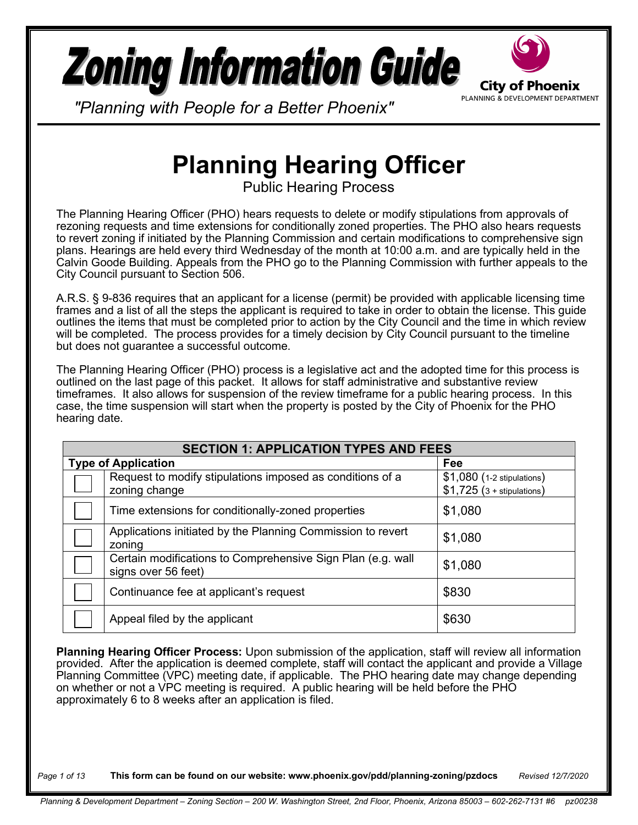# **Zoning Information Guide**



*"Planning with People for a Better Phoenix"*

## **Planning Hearing Officer**

Public Hearing Process

The Planning Hearing Officer (PHO) hears requests to delete or modify stipulations from approvals of rezoning requests and time extensions for conditionally zoned properties. The PHO also hears requests to revert zoning if initiated by the Planning Commission and certain modifications to comprehensive sign plans. Hearings are held every third Wednesday of the month at 10:00 a.m. and are typically held in the Calvin Goode Building. Appeals from the PHO go to the Planning Commission with further appeals to the City Council pursuant to Section 506.

A.R.S. § 9-836 requires that an applicant for a license (permit) be provided with applicable licensing time frames and a list of all the steps the applicant is required to take in order to obtain the license. This guide outlines the items that must be completed prior to action by the City Council and the time in which review will be completed. The process provides for a timely decision by City Council pursuant to the timeline but does not guarantee a successful outcome.

The Planning Hearing Officer (PHO) process is a legislative act and the adopted time for this process is outlined on the last page of this packet. It allows for staff administrative and substantive review timeframes. It also allows for suspension of the review timeframe for a public hearing process. In this case, the time suspension will start when the property is posted by the City of Phoenix for the PHO hearing date.

| <b>SECTION 1: APPLICATION TYPES AND FEES</b> |                                                                                    |                                                           |  |  |
|----------------------------------------------|------------------------------------------------------------------------------------|-----------------------------------------------------------|--|--|
|                                              | <b>Type of Application</b>                                                         | Fee                                                       |  |  |
|                                              | Request to modify stipulations imposed as conditions of a<br>zoning change         | \$1,080 (1-2 stipulations)<br>$$1,725$ (3 + stipulations) |  |  |
|                                              | Time extensions for conditionally-zoned properties                                 | \$1,080                                                   |  |  |
|                                              | Applications initiated by the Planning Commission to revert<br>zoning              | \$1,080                                                   |  |  |
|                                              | Certain modifications to Comprehensive Sign Plan (e.g. wall<br>signs over 56 feet) | \$1,080                                                   |  |  |
|                                              | Continuance fee at applicant's request                                             | \$830                                                     |  |  |
|                                              | Appeal filed by the applicant                                                      | \$630                                                     |  |  |

**Planning Hearing Officer Process:** Upon submission of the application, staff will review all information provided. After the application is deemed complete, staff will contact the applicant and provide a Village Planning Committee (VPC) meeting date, if applicable. The PHO hearing date may change depending on whether or not a VPC meeting is required. A public hearing will be held before the PHO approximately 6 to 8 weeks after an application is filed.

*Page 1 of 13* **This form can be found on our website: www.phoenix.gov/pdd/planning-zoning/pzdocs** *Revised 12/7/2020*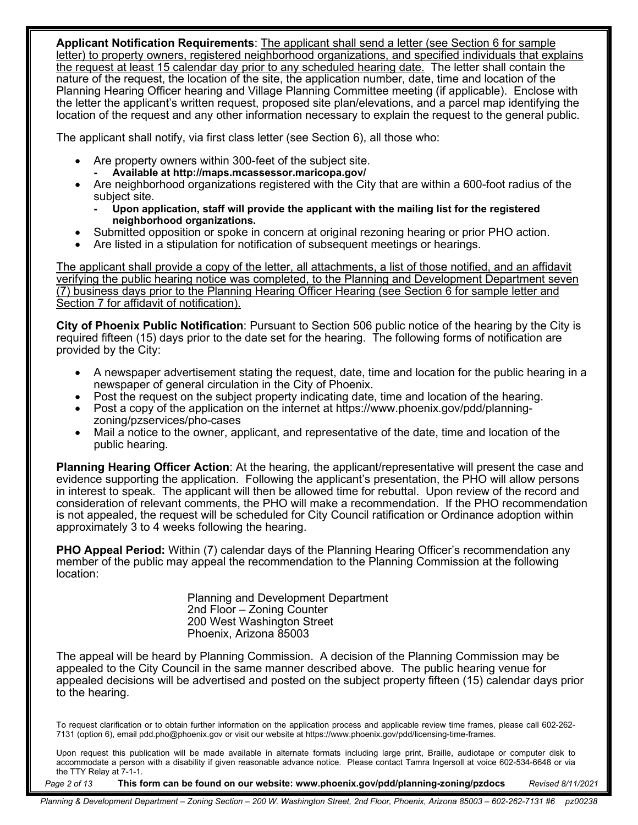**Applicant Notification Requirements**: The applicant shall send a letter (see Section 6 for sample letter) to property owners, registered neighborhood organizations, and specified individuals that explains the request at least 15 calendar day prior to any scheduled hearing date. The letter shall contain the nature of the request, the location of the site, the application number, date, time and location of the Planning Hearing Officer hearing and Village Planning Committee meeting (if applicable). Enclose with the letter the applicant's written request, proposed site plan/elevations, and a parcel map identifying the location of the request and any other information necessary to explain the request to the general public.

The applicant shall notify, via first class letter (see Section 6), all those who:

- Are property owners within 300-feet of the subject site.
	- **- Available at http://maps.mcassessor.maricopa.gov/**
- Are neighborhood organizations registered with the City that are within a 600-foot radius of the subject site.
	- **- Upon application, staff will provide the applicant with the mailing list for the registered neighborhood organizations.**
- Submitted opposition or spoke in concern at original rezoning hearing or prior PHO action.
- Are listed in a stipulation for notification of subsequent meetings or hearings.

The applicant shall provide a copy of the letter, all attachments, a list of those notified, and an affidavit verifying the public hearing notice was completed, to the Planning and Development Department seven (7) business days prior to the Planning Hearing Officer Hearing (see Section 6 for sample letter and Section 7 for affidavit of notification).

**City of Phoenix Public Notification**: Pursuant to Section 506 public notice of the hearing by the City is required fifteen (15) days prior to the date set for the hearing. The following forms of notification are provided by the City:

- A newspaper advertisement stating the request, date, time and location for the public hearing in a newspaper of general circulation in the City of Phoenix.
- Post the request on the subject property indicating date, time and location of the hearing.
- Post a copy of the application on the internet at https://www.phoenix.gov/pdd/planningzoning/pzservices/pho-cases
- Mail a notice to the owner, applicant, and representative of the date, time and location of the public hearing.

**Planning Hearing Officer Action**: At the hearing, the applicant/representative will present the case and evidence supporting the application. Following the applicant's presentation, the PHO will allow persons in interest to speak. The applicant will then be allowed time for rebuttal. Upon review of the record and consideration of relevant comments, the PHO will make a recommendation. If the PHO recommendation is not appealed, the request will be scheduled for City Council ratification or Ordinance adoption within approximately 3 to 4 weeks following the hearing.

**PHO Appeal Period:** Within (7) calendar days of the Planning Hearing Officer's recommendation any member of the public may appeal the recommendation to the Planning Commission at the following location:

> Planning and Development Department 2nd Floor – Zoning Counter 200 West Washington Street Phoenix, Arizona 85003

The appeal will be heard by Planning Commission. A decision of the Planning Commission may be appealed to the City Council in the same manner described above. The public hearing venue for appealed decisions will be advertised and posted on the subject property fifteen (15) calendar days prior to the hearing.

To request clarification or to obtain further information on the application process and applicable review time frames, please call 602-262- 7131 (option 6), email pdd.pho@phoenix.gov or visit our website at https://www.phoenix.gov/pdd/licensing-time-frames.

Upon request this publication will be made available in alternate formats including large print, Braille, audiotape or computer disk to accommodate a person with a disability if given reasonable advance notice. Please contact Tamra Ingersoll at voice 602-534-6648 or via the TTY Relay at 7-1-1.

*Page 2 of 13* **This form can be found on our website: www.phoenix.gov/pdd/planning-zoning/pzdocs** *Revised 8/11/2021*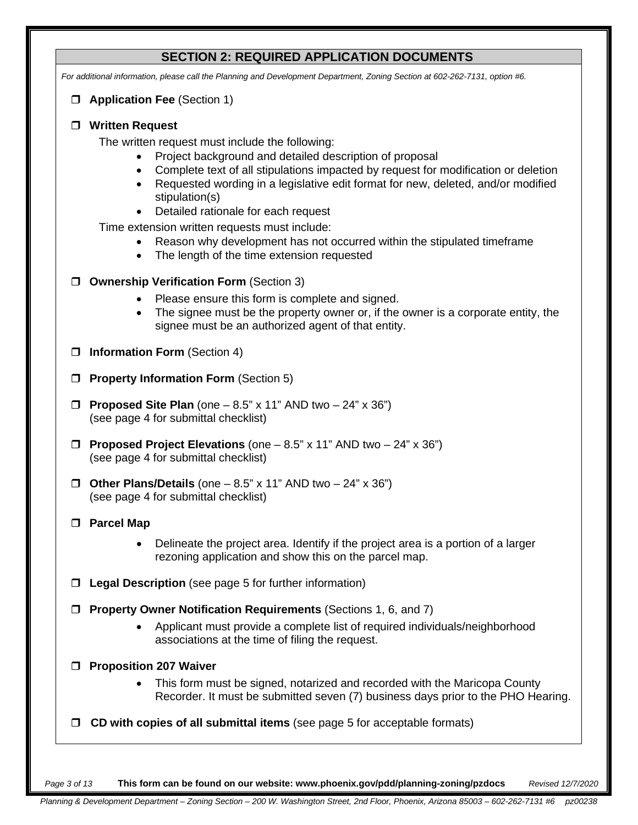### **SECTION 2: REQUIRED APPLICATION DOCUMENTS**

*For additional information, please call the Planning and Development Department, Zoning Section at 602-262-7131, option #6.*

**Application Fee** (Section 1)

#### **Written Request**

The written request must include the following:

- Project background and detailed description of proposal
- Complete text of all stipulations impacted by request for modification or deletion
- Requested wording in a legislative edit format for new, deleted, and/or modified stipulation(s)
- Detailed rationale for each request

Time extension written requests must include:

- Reason why development has not occurred within the stipulated timeframe
- The length of the time extension requested
- **Ownership Verification Form** (Section 3)
	- Please ensure this form is complete and signed.
	- The signee must be the property owner or, if the owner is a corporate entity, the signee must be an authorized agent of that entity.
- **Information Form** (Section 4)
- **Property Information Form** (Section 5)
- **Proposed Site Plan** (one 8.5" x 11" AND two 24" x 36") (see page 4 for submittal checklist)
- **Proposed Project Elevations** (one 8.5" x 11" AND two 24" x 36") (see page 4 for submittal checklist)
- **Other Plans/Details** (one 8.5" x 11" AND two 24" x 36") (see page 4 for submittal checklist)
- **Parcel Map**
	- Delineate the project area. Identify if the project area is a portion of a larger rezoning application and show this on the parcel map.
- **Legal Description** (see page 5 for further information)
- **Property Owner Notification Requirements** (Sections 1, 6, and 7)
	- Applicant must provide a complete list of required individuals/neighborhood associations at the time of filing the request.
- **Proposition 207 Waiver** 
	- This form must be signed, notarized and recorded with the Maricopa County Recorder. It must be submitted seven (7) business days prior to the PHO Hearing.
- **CD with copies of all submittal items** (see page 5 for acceptable formats)

*Page 3 of 13* **This form can be found on our website: www.phoenix.gov/pdd/planning-zoning/pzdocs** *Revised 12/7/2020*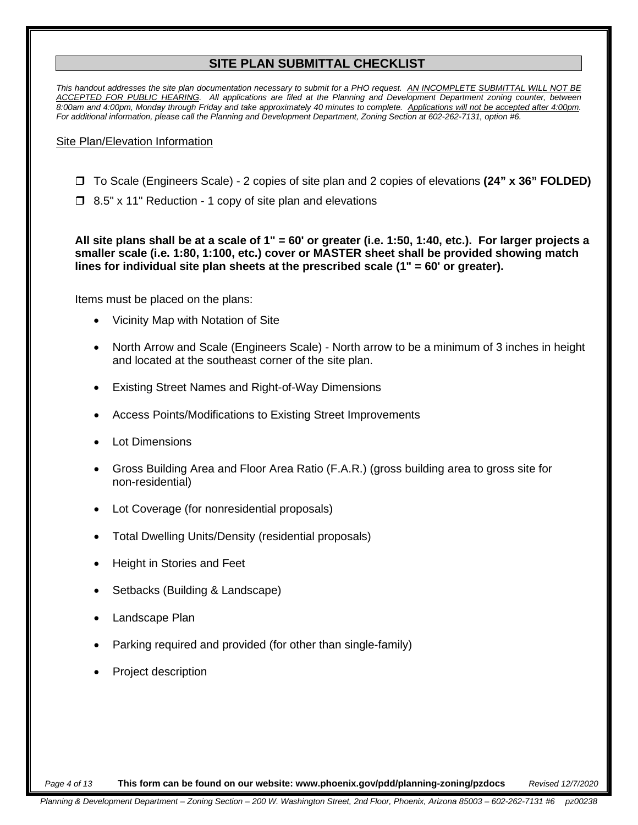#### **SITE PLAN SUBMITTAL CHECKLIST**

*This handout addresses the site plan documentation necessary to submit for a PHO request. AN INCOMPLETE SUBMITTAL WILL NOT BE ACCEPTED FOR PUBLIC HEARING. All applications are filed at the Planning and Development Department zoning counter, between 8:00am and 4:00pm, Monday through Friday and take approximately 40 minutes to complete. Applications will not be accepted after 4:00pm. For additional information, please call the Planning and Development Department, Zoning Section at 602-262-7131, option #6.*

#### Site Plan/Elevation Information

- To Scale (Engineers Scale) 2 copies of site plan and 2 copies of elevations **(24" x 36" FOLDED)**
- □ 8.5" x 11" Reduction 1 copy of site plan and elevations

**All site plans shall be at a scale of 1" = 60' or greater (i.e. 1:50, 1:40, etc.). For larger projects a smaller scale (i.e. 1:80, 1:100, etc.) cover or MASTER sheet shall be provided showing match lines for individual site plan sheets at the prescribed scale (1" = 60' or greater).**

Items must be placed on the plans:

- Vicinity Map with Notation of Site
- North Arrow and Scale (Engineers Scale) North arrow to be a minimum of 3 inches in height and located at the southeast corner of the site plan.
- Existing Street Names and Right-of-Way Dimensions
- Access Points/Modifications to Existing Street Improvements
- **Lot Dimensions**
- Gross Building Area and Floor Area Ratio (F.A.R.) (gross building area to gross site for non-residential)
- Lot Coverage (for nonresidential proposals)
- Total Dwelling Units/Density (residential proposals)
- Height in Stories and Feet
- Setbacks (Building & Landscape)
- Landscape Plan
- Parking required and provided (for other than single-family)
- Project description

*Page 4 of 13* **This form can be found on our website: www.phoenix.gov/pdd/planning-zoning/pzdocs** *Revised 12/7/2020*

*Planning & Development Department – Zoning Section – 200 W. Washington Street, 2nd Floor, Phoenix, Arizona 85003 – 602-262-7131 #6 pz00238*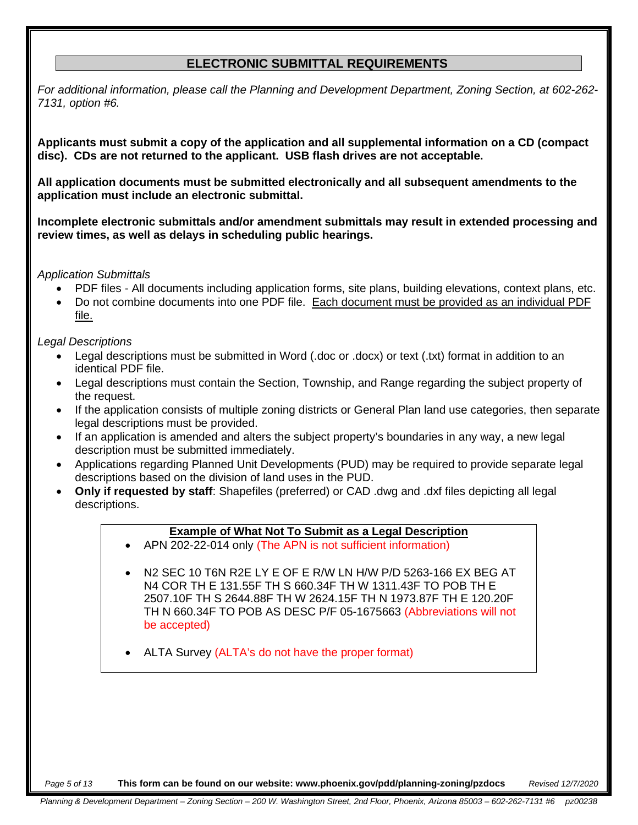#### **ELECTRONIC SUBMITTAL REQUIREMENTS**

*For additional information, please call the Planning and Development Department, Zoning Section, at 602-262- 7131, option #6.*

**Applicants must submit a copy of the application and all supplemental information on a CD (compact disc). CDs are not returned to the applicant. USB flash drives are not acceptable.**

**All application documents must be submitted electronically and all subsequent amendments to the application must include an electronic submittal.**

**Incomplete electronic submittals and/or amendment submittals may result in extended processing and review times, as well as delays in scheduling public hearings.**

*Application Submittals*

- PDF files All documents including application forms, site plans, building elevations, context plans, etc.
- Do not combine documents into one PDF file. Each document must be provided as an individual PDF file.

*Legal Descriptions*

- Legal descriptions must be submitted in Word (.doc or .docx) or text (.txt) format in addition to an identical PDF file.
- Legal descriptions must contain the Section, Township, and Range regarding the subject property of the request.
- If the application consists of multiple zoning districts or General Plan land use categories, then separate legal descriptions must be provided.
- If an application is amended and alters the subject property's boundaries in any way, a new legal description must be submitted immediately.
- Applications regarding Planned Unit Developments (PUD) may be required to provide separate legal descriptions based on the division of land uses in the PUD.
- **Only if requested by staff**: Shapefiles (preferred) or CAD .dwg and .dxf files depicting all legal descriptions.

#### **Example of What Not To Submit as a Legal Description**

- APN 202-22-014 only (The APN is not sufficient information)
- N2 SEC 10 T6N R2E LY E OF E R/W LN H/W P/D 5263-166 EX BEG AT N4 COR TH E 131.55F TH S 660.34F TH W 1311.43F TO POB TH E 2507.10F TH S 2644.88F TH W 2624.15F TH N 1973.87F TH E 120.20F TH N 660.34F TO POB AS DESC P/F 05-1675663 (Abbreviations will not be accepted)
- ALTA Survey (ALTA's do not have the proper format)

*Page 5 of 13* **This form can be found on our website: www.phoenix.gov/pdd/planning-zoning/pzdocs** *Revised 12/7/2020*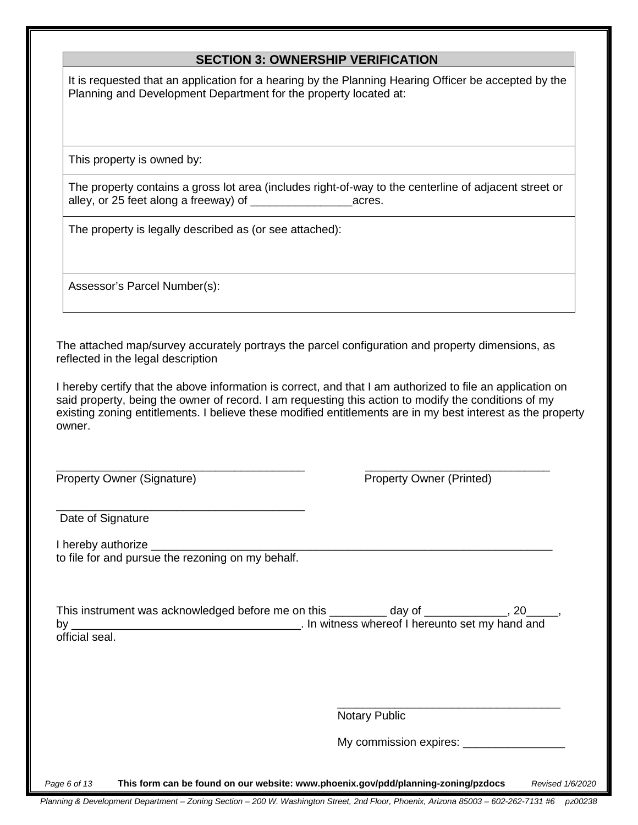#### **SECTION 3: OWNERSHIP VERIFICATION**

It is requested that an application for a hearing by the Planning Hearing Officer be accepted by the Planning and Development Department for the property located at:

This property is owned by:

The property contains a gross lot area (includes right-of-way to the centerline of adjacent street or alley, or 25 feet along a freeway) of \_\_\_\_\_\_\_\_\_\_\_\_\_\_\_\_acres.

The property is legally described as (or see attached):

Assessor's Parcel Number(s):

The attached map/survey accurately portrays the parcel configuration and property dimensions, as reflected in the legal description

I hereby certify that the above information is correct, and that I am authorized to file an application on said property, being the owner of record. I am requesting this action to modify the conditions of my existing zoning entitlements. I believe these modified entitlements are in my best interest as the property owner.

Property Owner (Signature) Property Owner (Printed)

\_\_\_\_\_\_\_\_\_\_\_\_\_\_\_\_\_\_\_\_\_\_\_\_\_\_\_\_\_\_\_\_\_\_\_\_\_\_\_ \_\_\_\_\_\_\_\_\_\_\_\_\_\_\_\_\_\_\_\_\_\_\_\_\_\_\_\_\_

\_\_\_\_\_\_\_\_\_\_\_\_\_\_\_\_\_\_\_\_\_\_\_\_\_\_\_\_\_\_\_\_\_\_\_\_\_\_\_ Date of Signature

I hereby authorize to file for and pursue the rezoning on my behalf.

This instrument was acknowledged before me on this \_\_\_\_\_\_\_\_\_ day of \_\_\_\_\_\_\_\_\_\_\_\_, 20\_\_ by the contract of the state of I hereunto set my hand and state of I hereunto set my hand and official seal.

> \_\_\_\_\_\_\_\_\_\_\_\_\_\_\_\_\_\_\_\_\_\_\_\_\_\_\_\_\_\_\_\_\_\_\_ Notary Public

My commission expires:

*Page 6 of 13* **This form can be found on our website: www.phoenix.gov/pdd/planning-zoning/pzdocs** *Revised 1/6/2020*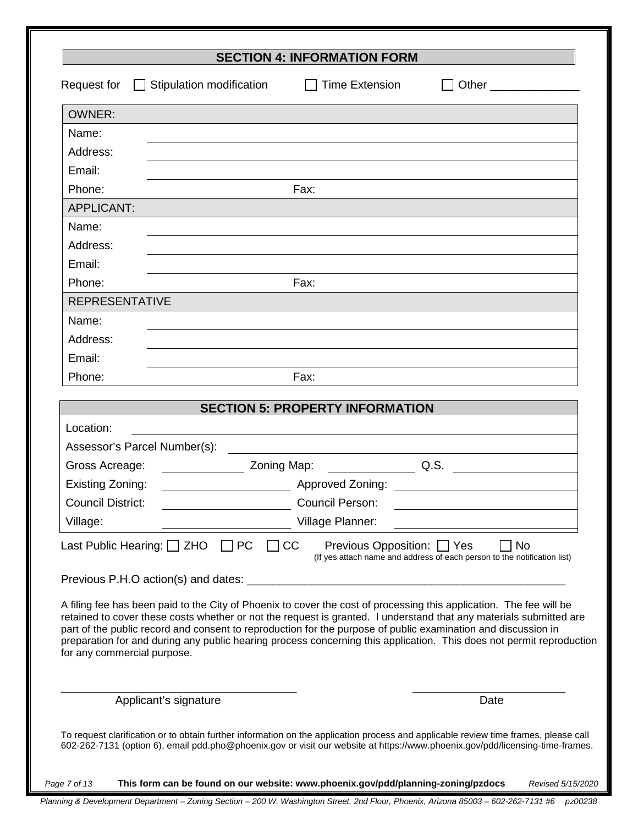|                             |                                                                                                               | <b>SECTION 4: INFORMATION FORM</b>                               |                                                                                                                                                                                                                                                                                                                                                                   |
|-----------------------------|---------------------------------------------------------------------------------------------------------------|------------------------------------------------------------------|-------------------------------------------------------------------------------------------------------------------------------------------------------------------------------------------------------------------------------------------------------------------------------------------------------------------------------------------------------------------|
| Request for                 | $\Box$ Stipulation modification $\Box$ Time Extension                                                         |                                                                  | Other _________________                                                                                                                                                                                                                                                                                                                                           |
| <b>OWNER:</b>               |                                                                                                               |                                                                  |                                                                                                                                                                                                                                                                                                                                                                   |
| Name:                       |                                                                                                               |                                                                  |                                                                                                                                                                                                                                                                                                                                                                   |
| Address:                    |                                                                                                               |                                                                  |                                                                                                                                                                                                                                                                                                                                                                   |
| Email:                      |                                                                                                               |                                                                  |                                                                                                                                                                                                                                                                                                                                                                   |
| Phone:                      |                                                                                                               | Fax:                                                             |                                                                                                                                                                                                                                                                                                                                                                   |
| <b>APPLICANT:</b>           |                                                                                                               |                                                                  |                                                                                                                                                                                                                                                                                                                                                                   |
| Name:                       |                                                                                                               |                                                                  |                                                                                                                                                                                                                                                                                                                                                                   |
| Address:                    |                                                                                                               |                                                                  |                                                                                                                                                                                                                                                                                                                                                                   |
| Email:                      |                                                                                                               |                                                                  |                                                                                                                                                                                                                                                                                                                                                                   |
| Phone:                      |                                                                                                               | Fax:                                                             |                                                                                                                                                                                                                                                                                                                                                                   |
| <b>REPRESENTATIVE</b>       |                                                                                                               |                                                                  |                                                                                                                                                                                                                                                                                                                                                                   |
| Name:                       |                                                                                                               |                                                                  |                                                                                                                                                                                                                                                                                                                                                                   |
| Address:                    |                                                                                                               |                                                                  |                                                                                                                                                                                                                                                                                                                                                                   |
| Email:                      |                                                                                                               |                                                                  |                                                                                                                                                                                                                                                                                                                                                                   |
| Phone:                      |                                                                                                               | Fax:                                                             |                                                                                                                                                                                                                                                                                                                                                                   |
|                             |                                                                                                               | <b>SECTION 5: PROPERTY INFORMATION</b>                           |                                                                                                                                                                                                                                                                                                                                                                   |
| Location:                   |                                                                                                               |                                                                  |                                                                                                                                                                                                                                                                                                                                                                   |
|                             | Assessor's Parcel Number(s):                                                                                  |                                                                  |                                                                                                                                                                                                                                                                                                                                                                   |
| Gross Acreage:              |                                                                                                               | <u>Noting</u> Map: 2011 2012 2014 2015                           |                                                                                                                                                                                                                                                                                                                                                                   |
| Existing Zoning:            |                                                                                                               | <b>Approved Zoning:</b>                                          |                                                                                                                                                                                                                                                                                                                                                                   |
| <b>Council District:</b>    |                                                                                                               | <b>Council Person:</b>                                           |                                                                                                                                                                                                                                                                                                                                                                   |
| Village:                    |                                                                                                               | Village Planner:                                                 |                                                                                                                                                                                                                                                                                                                                                                   |
|                             | Last Public Hearing: $\Box$ ZHO<br><b>PC</b>                                                                  | Previous Opposition: □ Yes<br>CC                                 | <b>No</b><br>(If yes attach name and address of each person to the notification list)                                                                                                                                                                                                                                                                             |
|                             | Previous P.H.O action(s) and dates:                                                                           | <u> 1989 - Johann Barn, mars ar breithinn ar chuid ann an t-</u> |                                                                                                                                                                                                                                                                                                                                                                   |
| for any commercial purpose. | part of the public record and consent to reproduction for the purpose of public examination and discussion in |                                                                  | A filing fee has been paid to the City of Phoenix to cover the cost of processing this application. The fee will be<br>retained to cover these costs whether or not the request is granted. I understand that any materials submitted are<br>preparation for and during any public hearing process concerning this application. This does not permit reproduction |
|                             | Applicant's signature                                                                                         |                                                                  | Date                                                                                                                                                                                                                                                                                                                                                              |

*Planning & Development Department – Zoning Section – 200 W. Washington Street, 2nd Floor, Phoenix, Arizona 85003 – 602-262-7131 #6 pz00238 Page 7 of 13* **This form can be found on our website: www.phoenix.gov/pdd/planning-zoning/pzdocs** *Revised 5/15/2020*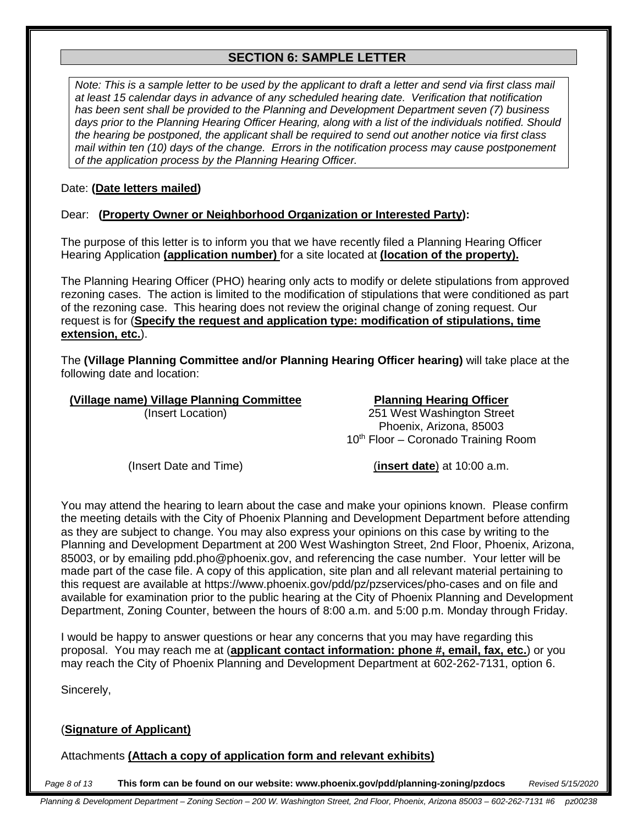#### **SECTION 6: SAMPLE LETTER**

*Note: This is a sample letter to be used by the applicant to draft a letter and send via first class mail at least 15 calendar days in advance of any scheduled hearing date. Verification that notification has been sent shall be provided to the Planning and Development Department seven (7) business days prior to the Planning Hearing Officer Hearing, along with a list of the individuals notified. Should the hearing be postponed, the applicant shall be required to send out another notice via first class mail within ten (10) days of the change. Errors in the notification process may cause postponement of the application process by the Planning Hearing Officer.* 

#### Date: **(Date letters mailed)**

#### Dear: **(Property Owner or Neighborhood Organization or Interested Party):**

The purpose of this letter is to inform you that we have recently filed a Planning Hearing Officer Hearing Application **(application number)** for a site located at **(location of the property).** 

The Planning Hearing Officer (PHO) hearing only acts to modify or delete stipulations from approved rezoning cases. The action is limited to the modification of stipulations that were conditioned as part of the rezoning case. This hearing does not review the original change of zoning request. Our request is for (**Specify the request and application type: modification of stipulations, time extension, etc.**).

The **(Village Planning Committee and/or Planning Hearing Officer hearing)** will take place at the following date and location:

#### **(Village name) Village Planning Committee Planning Hearing Officer**

(Insert Location) 251 West Washington Street Phoenix, Arizona, 85003 10<sup>th</sup> Floor – Coronado Training Room

(Insert Date and Time) (**insert date**) at 10:00 a.m.

You may attend the hearing to learn about the case and make your opinions known. Please confirm the meeting details with the City of Phoenix Planning and Development Department before attending as they are subject to change. You may also express your opinions on this case by writing to the Planning and Development Department at 200 West Washington Street, 2nd Floor, Phoenix, Arizona, 85003, or by emailing pdd.pho@phoenix.gov, and referencing the case number. Your letter will be made part of the case file. A copy of this application, site plan and all relevant material pertaining to this request are available at https://www.phoenix.gov/pdd/pz/pzservices/pho-cases and on file and available for examination prior to the public hearing at the City of Phoenix Planning and Development Department, Zoning Counter, between the hours of 8:00 a.m. and 5:00 p.m. Monday through Friday.

I would be happy to answer questions or hear any concerns that you may have regarding this proposal. You may reach me at (**applicant contact information: phone #, email, fax, etc.**) or you may reach the City of Phoenix Planning and Development Department at 602-262-7131, option 6.

Sincerely,

#### (**Signature of Applicant)**

Attachments **(Attach a copy of application form and relevant exhibits)**

*Page 8 of 13* **This form can be found on our website: www.phoenix.gov/pdd/planning-zoning/pzdocs** *Revised 5/15/2020*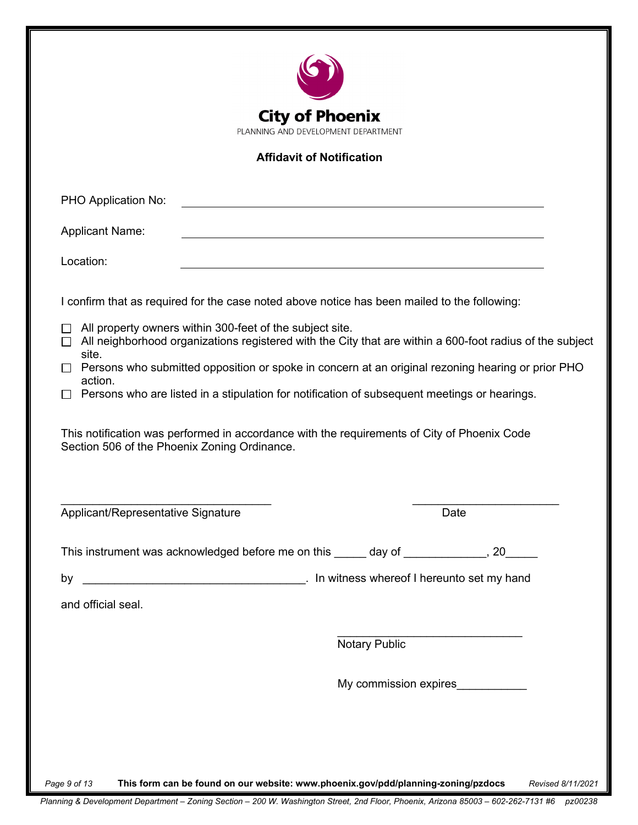| <b>City of Phoenix</b><br>PLANNING AND DEVELOPMENT DEPARTMENT                                                                                                               |  |  |  |  |  |
|-----------------------------------------------------------------------------------------------------------------------------------------------------------------------------|--|--|--|--|--|
| <b>Affidavit of Notification</b>                                                                                                                                            |  |  |  |  |  |
|                                                                                                                                                                             |  |  |  |  |  |
| PHO Application No:                                                                                                                                                         |  |  |  |  |  |
| <b>Applicant Name:</b>                                                                                                                                                      |  |  |  |  |  |
| Location:                                                                                                                                                                   |  |  |  |  |  |
| I confirm that as required for the case noted above notice has been mailed to the following:                                                                                |  |  |  |  |  |
| All property owners within 300-feet of the subject site.<br>$\Box$ All neighborhood organizations registered with the City that are within a 600-foot radius of the subject |  |  |  |  |  |
| site.<br>Persons who submitted opposition or spoke in concern at an original rezoning hearing or prior PHO                                                                  |  |  |  |  |  |
| action.<br>Persons who are listed in a stipulation for notification of subsequent meetings or hearings.                                                                     |  |  |  |  |  |
| This notification was performed in accordance with the requirements of City of Phoenix Code<br>Section 506 of the Phoenix Zoning Ordinance.                                 |  |  |  |  |  |
| Applicant/Representative Signature<br>Date                                                                                                                                  |  |  |  |  |  |
| This instrument was acknowledged before me on this _____ day of _____________, 20_____                                                                                      |  |  |  |  |  |
| Latin witness whereof I hereunto set my hand<br>by                                                                                                                          |  |  |  |  |  |
| and official seal.                                                                                                                                                          |  |  |  |  |  |
|                                                                                                                                                                             |  |  |  |  |  |
| <b>Notary Public</b>                                                                                                                                                        |  |  |  |  |  |
| My commission expires___________                                                                                                                                            |  |  |  |  |  |
|                                                                                                                                                                             |  |  |  |  |  |
|                                                                                                                                                                             |  |  |  |  |  |
| This form can be found on our website: www.phoenix.gov/pdd/planning-zoning/pzdocs<br>Page 9 of 13<br>Revised 8/11/2021                                                      |  |  |  |  |  |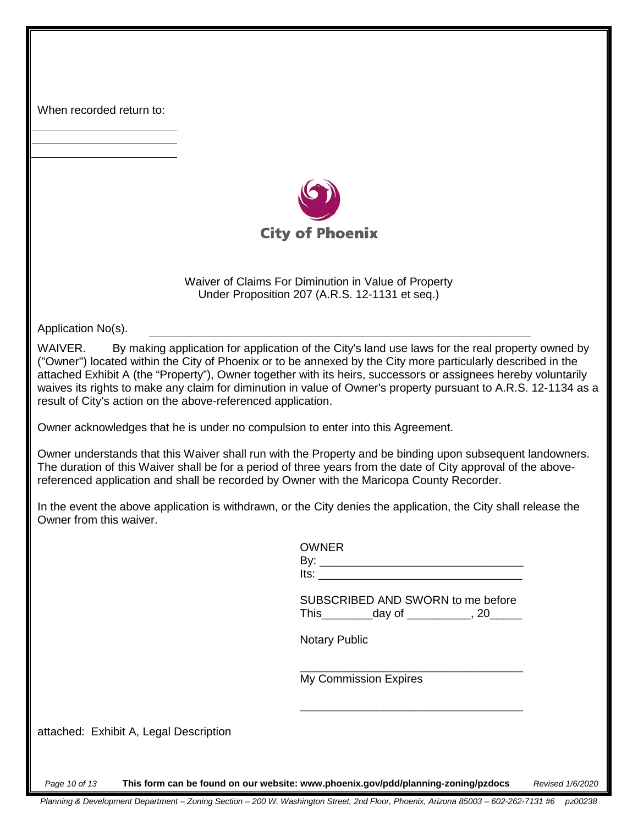When recorded return to:



Waiver of Claims For Diminution in Value of Property Under Proposition 207 (A.R.S. 12-1131 et seq.)

Application No(s).

WAIVER. By making application for application of the City's land use laws for the real property owned by ("Owner") located within the City of Phoenix or to be annexed by the City more particularly described in the attached Exhibit A (the "Property"), Owner together with its heirs, successors or assignees hereby voluntarily waives its rights to make any claim for diminution in value of Owner's property pursuant to A.R.S. 12-1134 as a result of City's action on the above-referenced application.

Owner acknowledges that he is under no compulsion to enter into this Agreement.

Owner understands that this Waiver shall run with the Property and be binding upon subsequent landowners. The duration of this Waiver shall be for a period of three years from the date of City approval of the abovereferenced application and shall be recorded by Owner with the Maricopa County Recorder.

In the event the above application is withdrawn, or the City denies the application, the City shall release the Owner from this waiver.

|                                        | <b>OWNER</b>                                                                      |                  |
|----------------------------------------|-----------------------------------------------------------------------------------|------------------|
|                                        | SUBSCRIBED AND SWORN to me before                                                 |                  |
|                                        | <b>Notary Public</b>                                                              |                  |
|                                        | My Commission Expires                                                             |                  |
| attached: Exhibit A, Legal Description |                                                                                   |                  |
| Page 10 of 13                          | This form can be found on our website: www.phoenix.gov/pdd/planning-zoning/pzdocs | Revised 1/6/2020 |

*Planning & Development Department – Zoning Section – 200 W. Washington Street, 2nd Floor, Phoenix, Arizona 85003 – 602-262-7131 #6 pz00238*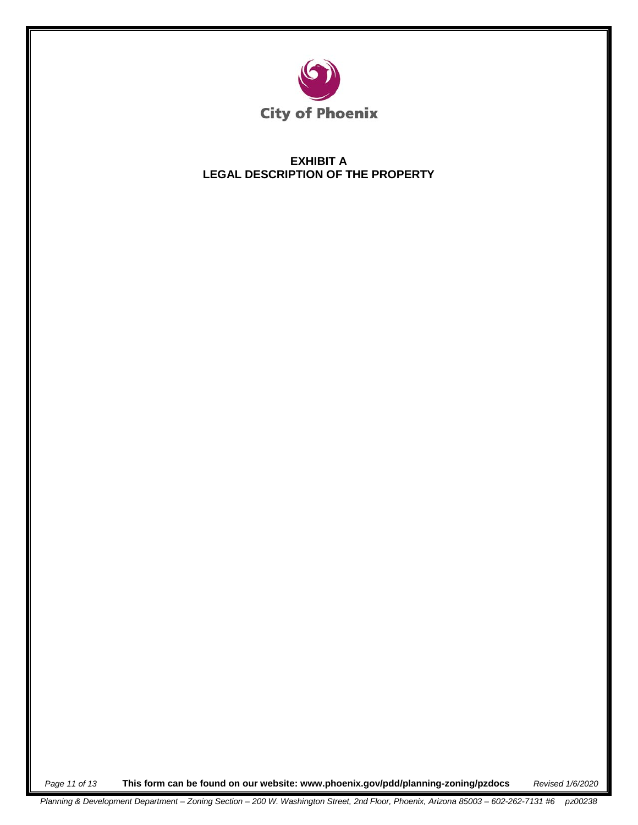

#### **EXHIBIT A LEGAL DESCRIPTION OF THE PROPERTY**

*Page 11 of 13* **This form can be found on our website: www.phoenix.gov/pdd/planning-zoning/pzdocs** *Revised 1/6/2020*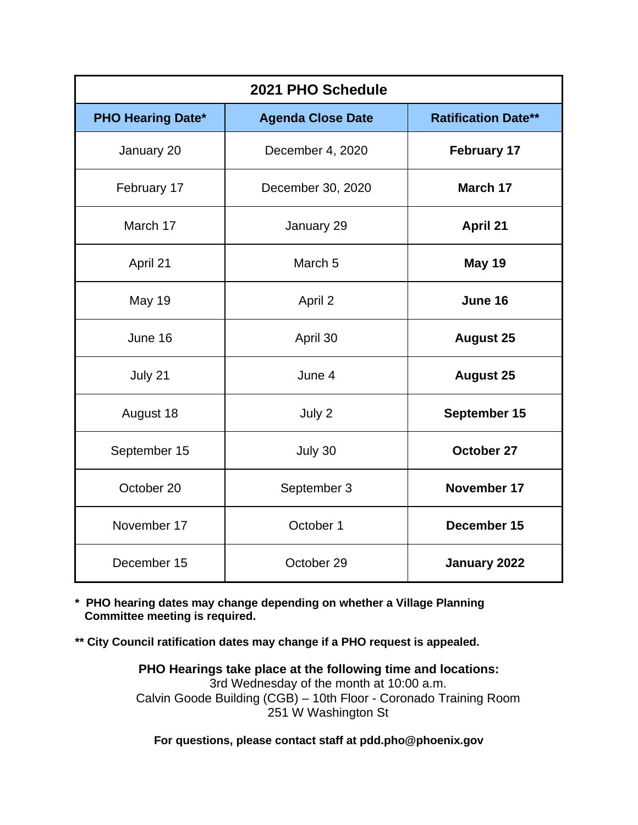| 2021 PHO Schedule        |                          |                            |  |  |  |
|--------------------------|--------------------------|----------------------------|--|--|--|
| <b>PHO Hearing Date*</b> | <b>Agenda Close Date</b> | <b>Ratification Date**</b> |  |  |  |
| January 20               | December 4, 2020         | <b>February 17</b>         |  |  |  |
| February 17              | December 30, 2020        | March 17                   |  |  |  |
| March 17                 | January 29               | <b>April 21</b>            |  |  |  |
| April 21                 | March <sub>5</sub>       | <b>May 19</b>              |  |  |  |
| May 19                   | April 2                  | June 16                    |  |  |  |
| June 16                  | April 30                 | <b>August 25</b>           |  |  |  |
| July 21                  | June 4                   | <b>August 25</b>           |  |  |  |
| August 18                | July 2                   | September 15               |  |  |  |
| September 15             | July 30                  | October 27                 |  |  |  |
| October 20               | September 3              | November 17                |  |  |  |
| November 17              | October 1                | December 15                |  |  |  |
| December 15              | October 29               | January 2022               |  |  |  |

**\* PHO hearing dates may change depending on whether a Village Planning Committee meeting is required.**

**\*\* City Council ratification dates may change if a PHO request is appealed.**

**PHO Hearings take place at the following time and locations:** 3rd Wednesday of the month at 10:00 a.m. Calvin Goode Building (CGB) – 10th Floor - Coronado Training Room 251 W Washington St

**For questions, please contact staff at pdd.pho@phoenix.gov**